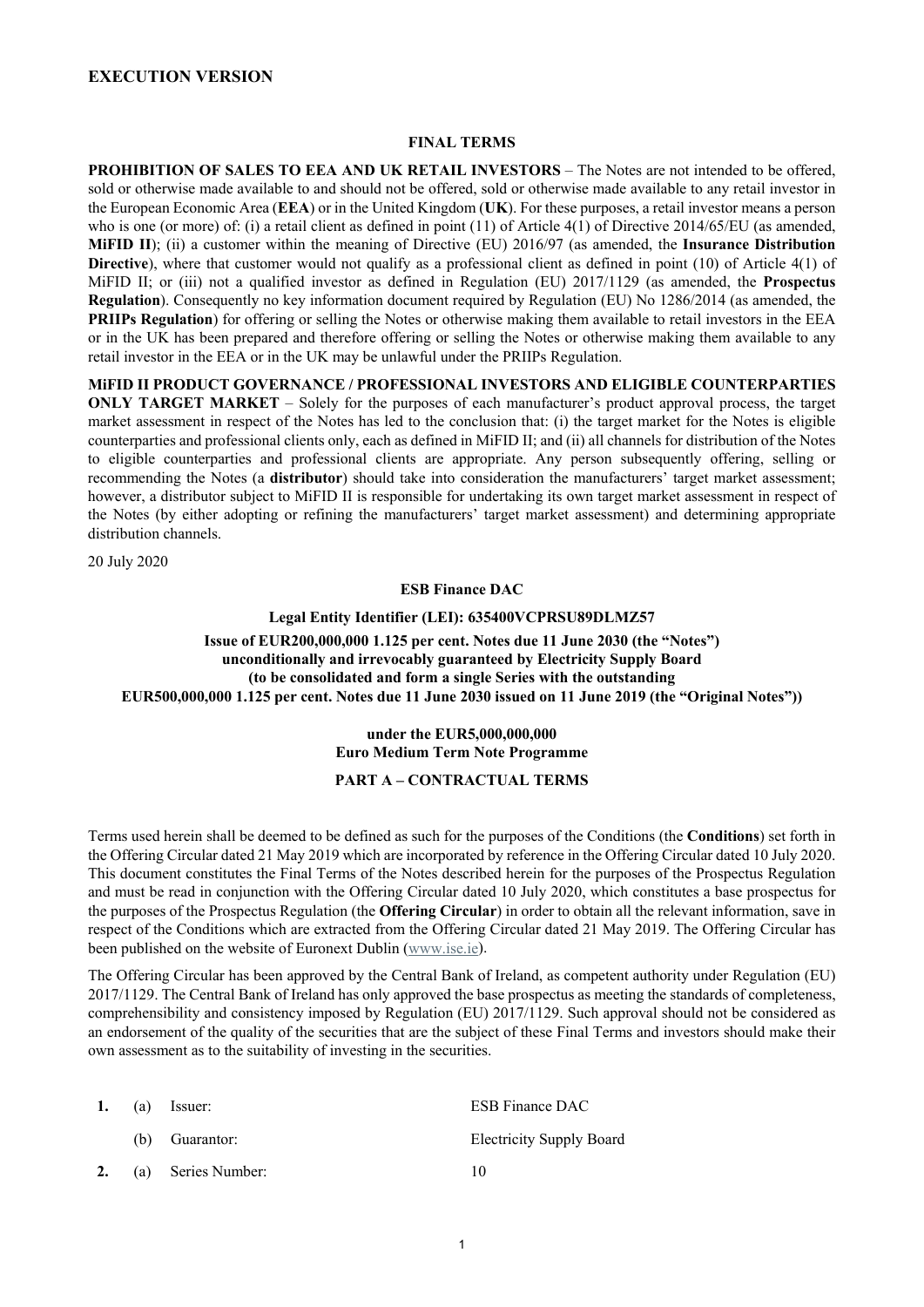## **EXECUTION VERSION**

#### **FINAL TERMS**

**PROHIBITION OF SALES TO EEA AND UK RETAIL INVESTORS** – The Notes are not intended to be offered, sold or otherwise made available to and should not be offered, sold or otherwise made available to any retail investor in the European Economic Area (**EEA**) or in the United Kingdom (**UK**). For these purposes, a retail investor means a person who is one (or more) of: (i) a retail client as defined in point (11) of Article 4(1) of Directive 2014/65/EU (as amended, **MiFID II**); (ii) a customer within the meaning of Directive (EU) 2016/97 (as amended, the **Insurance Distribution Directive**), where that customer would not qualify as a professional client as defined in point (10) of Article 4(1) of MiFID II; or (iii) not a qualified investor as defined in Regulation (EU) 2017/1129 (as amended, the **Prospectus Regulation**). Consequently no key information document required by Regulation (EU) No 1286/2014 (as amended, the **PRIIPs Regulation**) for offering or selling the Notes or otherwise making them available to retail investors in the EEA or in the UK has been prepared and therefore offering or selling the Notes or otherwise making them available to any retail investor in the EEA or in the UK may be unlawful under the PRIIPs Regulation.

**MiFID II PRODUCT GOVERNANCE / PROFESSIONAL INVESTORS AND ELIGIBLE COUNTERPARTIES ONLY TARGET MARKET** – Solely for the purposes of each manufacturer's product approval process, the target market assessment in respect of the Notes has led to the conclusion that: (i) the target market for the Notes is eligible counterparties and professional clients only, each as defined in MiFID II; and (ii) all channels for distribution of the Notes to eligible counterparties and professional clients are appropriate. Any person subsequently offering, selling or recommending the Notes (a **distributor**) should take into consideration the manufacturers' target market assessment; however, a distributor subject to MiFID II is responsible for undertaking its own target market assessment in respect of the Notes (by either adopting or refining the manufacturers' target market assessment) and determining appropriate distribution channels.

20 July 2020

#### **ESB Finance DAC**

## **Legal Entity Identifier (LEI): 635400VCPRSU89DLMZ57 Issue of EUR200,000,000 1.125 per cent. Notes due 11 June 2030 (the "Notes") unconditionally and irrevocably guaranteed by Electricity Supply Board (to be consolidated and form a single Series with the outstanding EUR500,000,000 1.125 per cent. Notes due 11 June 2030 issued on 11 June 2019 (the "Original Notes"))**

# **under the EUR5,000,000,000 Euro Medium Term Note Programme**

## **PART A – CONTRACTUAL TERMS**

Terms used herein shall be deemed to be defined as such for the purposes of the Conditions (the **Conditions**) set forth in the Offering Circular dated 21 May 2019 which are incorporated by reference in the Offering Circular dated 10 July 2020. This document constitutes the Final Terms of the Notes described herein for the purposes of the Prospectus Regulation and must be read in conjunction with the Offering Circular dated 10 July 2020, which constitutes a base prospectus for the purposes of the Prospectus Regulation (the **Offering Circular**) in order to obtain all the relevant information, save in respect of the Conditions which are extracted from the Offering Circular dated 21 May 2019. The Offering Circular has been published on the website of Euronext Dublin [\(www.ise.ie\)](http://www.ise.ie/).

The Offering Circular has been approved by the Central Bank of Ireland, as competent authority under Regulation (EU) 2017/1129. The Central Bank of Ireland has only approved the base prospectus as meeting the standards of completeness, comprehensibility and consistency imposed by Regulation (EU) 2017/1129. Such approval should not be considered as an endorsement of the quality of the securities that are the subject of these Final Terms and investors should make their own assessment as to the suitability of investing in the securities.

|    | 1. (a) Issuer:     | <b>ESB Finance DAC</b>          |
|----|--------------------|---------------------------------|
|    | (b) Guarantor:     | <b>Electricity Supply Board</b> |
| 2. | (a) Series Number: | 10                              |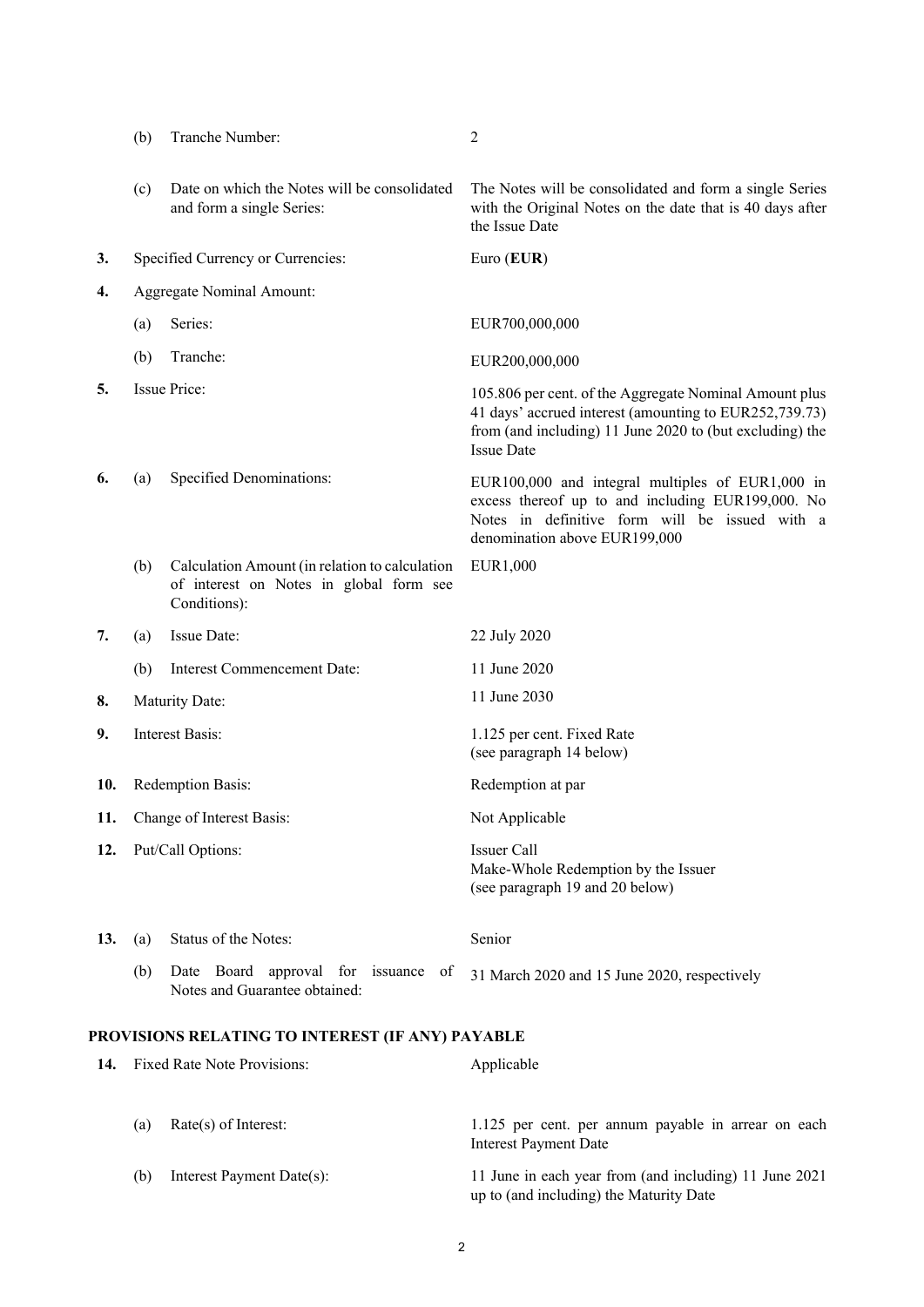|     | (b) | Tranche Number:                                                                                           | 2                                                                                                                                                                                                 |
|-----|-----|-----------------------------------------------------------------------------------------------------------|---------------------------------------------------------------------------------------------------------------------------------------------------------------------------------------------------|
|     | (c) | Date on which the Notes will be consolidated<br>and form a single Series:                                 | The Notes will be consolidated and form a single Series<br>with the Original Notes on the date that is 40 days after<br>the Issue Date                                                            |
| 3.  |     | Specified Currency or Currencies:                                                                         | Euro (EUR)                                                                                                                                                                                        |
| 4.  |     | <b>Aggregate Nominal Amount:</b>                                                                          |                                                                                                                                                                                                   |
|     | (a) | Series:                                                                                                   | EUR700,000,000                                                                                                                                                                                    |
|     | (b) | Tranche:                                                                                                  | EUR200,000,000                                                                                                                                                                                    |
| 5.  |     | <b>Issue Price:</b>                                                                                       | 105.806 per cent. of the Aggregate Nominal Amount plus<br>41 days' accrued interest (amounting to EUR252,739.73)<br>from (and including) 11 June 2020 to (but excluding) the<br><b>Issue Date</b> |
| 6.  | (a) | Specified Denominations:                                                                                  | EUR100,000 and integral multiples of EUR1,000 in<br>excess thereof up to and including EUR199,000. No<br>Notes in definitive form will be issued with a<br>denomination above EUR199,000          |
|     | (b) | Calculation Amount (in relation to calculation<br>of interest on Notes in global form see<br>Conditions): | EUR1,000                                                                                                                                                                                          |
| 7.  | (a) | Issue Date:                                                                                               | 22 July 2020                                                                                                                                                                                      |
|     |     |                                                                                                           |                                                                                                                                                                                                   |
|     | (b) | Interest Commencement Date:                                                                               | 11 June 2020                                                                                                                                                                                      |
| 8.  |     | Maturity Date:                                                                                            | 11 June 2030                                                                                                                                                                                      |
| 9.  |     | <b>Interest Basis:</b>                                                                                    | 1.125 per cent. Fixed Rate<br>(see paragraph 14 below)                                                                                                                                            |
| 10. |     | Redemption Basis:                                                                                         | Redemption at par                                                                                                                                                                                 |
| 11. |     | Change of Interest Basis:                                                                                 | Not Applicable                                                                                                                                                                                    |
| 12. |     | Put/Call Options:                                                                                         | Issuer Call<br>Make-Whole Redemption by the Issuer<br>(see paragraph 19 and 20 below)                                                                                                             |
| 13. | (a) | Status of the Notes:                                                                                      | Senior                                                                                                                                                                                            |
|     | (b) | Date Board approval for issuance of<br>Notes and Guarantee obtained:                                      | 31 March 2020 and 15 June 2020, respectively                                                                                                                                                      |
|     |     | PROVISIONS RELATING TO INTEREST (IF ANY) PAYABLE                                                          |                                                                                                                                                                                                   |
| 14. |     | Fixed Rate Note Provisions:                                                                               | Applicable                                                                                                                                                                                        |

|     |                           | Interest Payment Date                                  |
|-----|---------------------------|--------------------------------------------------------|
| (b) | Interest Payment Date(s): | 11 June in each year from (and including) 11 June 2021 |
|     |                           | up to (and including) the Maturity Date                |

<span id="page-1-0"></span>(a) Rate(s) of Interest: 1.125 per cent. per annum payable in arrear on each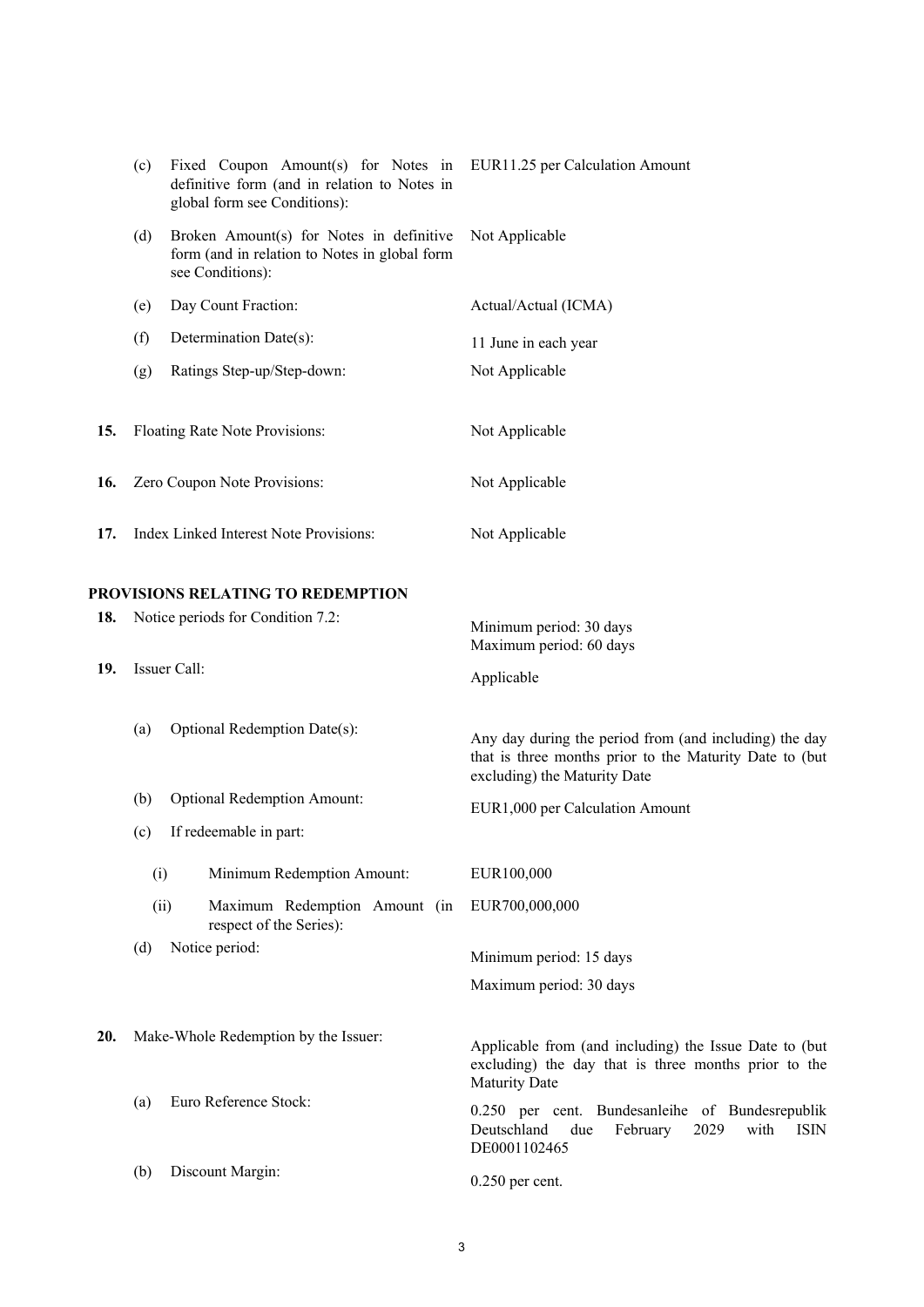<span id="page-2-2"></span><span id="page-2-1"></span><span id="page-2-0"></span>

|            | (c)  | Fixed Coupon Amount(s) for Notes in EUR11.25 per Calculation Amount<br>definitive form (and in relation to Notes in<br>global form see Conditions): |                                                                                                                                                   |
|------------|------|-----------------------------------------------------------------------------------------------------------------------------------------------------|---------------------------------------------------------------------------------------------------------------------------------------------------|
|            | (d)  | Broken Amount(s) for Notes in definitive<br>form (and in relation to Notes in global form<br>see Conditions):                                       | Not Applicable                                                                                                                                    |
|            | (e)  | Day Count Fraction:                                                                                                                                 | Actual/Actual (ICMA)                                                                                                                              |
|            | (f)  | Determination Date(s):                                                                                                                              | 11 June in each year                                                                                                                              |
|            | (g)  | Ratings Step-up/Step-down:                                                                                                                          | Not Applicable                                                                                                                                    |
| 15.        |      | Floating Rate Note Provisions:                                                                                                                      | Not Applicable                                                                                                                                    |
| 16.        |      | Zero Coupon Note Provisions:                                                                                                                        | Not Applicable                                                                                                                                    |
| 17.        |      | Index Linked Interest Note Provisions:                                                                                                              | Not Applicable                                                                                                                                    |
| 18.<br>19. |      | <b>PROVISIONS RELATING TO REDEMPTION</b><br>Notice periods for Condition 7.2:<br>Issuer Call:                                                       | Minimum period: 30 days<br>Maximum period: 60 days<br>Applicable                                                                                  |
|            | (a)  | Optional Redemption Date(s):                                                                                                                        | Any day during the period from (and including) the day<br>that is three months prior to the Maturity Date to (but<br>excluding) the Maturity Date |
|            | (b)  | <b>Optional Redemption Amount:</b>                                                                                                                  | EUR1,000 per Calculation Amount                                                                                                                   |
|            | (c)  | If redeemable in part:                                                                                                                              |                                                                                                                                                   |
|            | (i)  | Minimum Redemption Amount:                                                                                                                          | EUR100,000                                                                                                                                        |
|            | (ii) | Maximum Redemption Amount (in<br>respect of the Series):                                                                                            | EUR700,000,000                                                                                                                                    |
|            | (d)  | Notice period:                                                                                                                                      | Minimum period: 15 days                                                                                                                           |
|            |      |                                                                                                                                                     | Maximum period: 30 days                                                                                                                           |
| 20.        |      | Make-Whole Redemption by the Issuer:                                                                                                                | Applicable from (and including) the Issue Date to (but<br>excluding) the day that is three months prior to the<br>Maturity Date                   |
|            | (a)  | Euro Reference Stock:                                                                                                                               | 0.250 per cent. Bundesanleihe of Bundesrepublik<br>Deutschland<br>with<br>due<br>February<br>2029<br>ISIN<br>DE0001102465                         |
|            | (b)  | Discount Margin:                                                                                                                                    | $0.250$ per cent.                                                                                                                                 |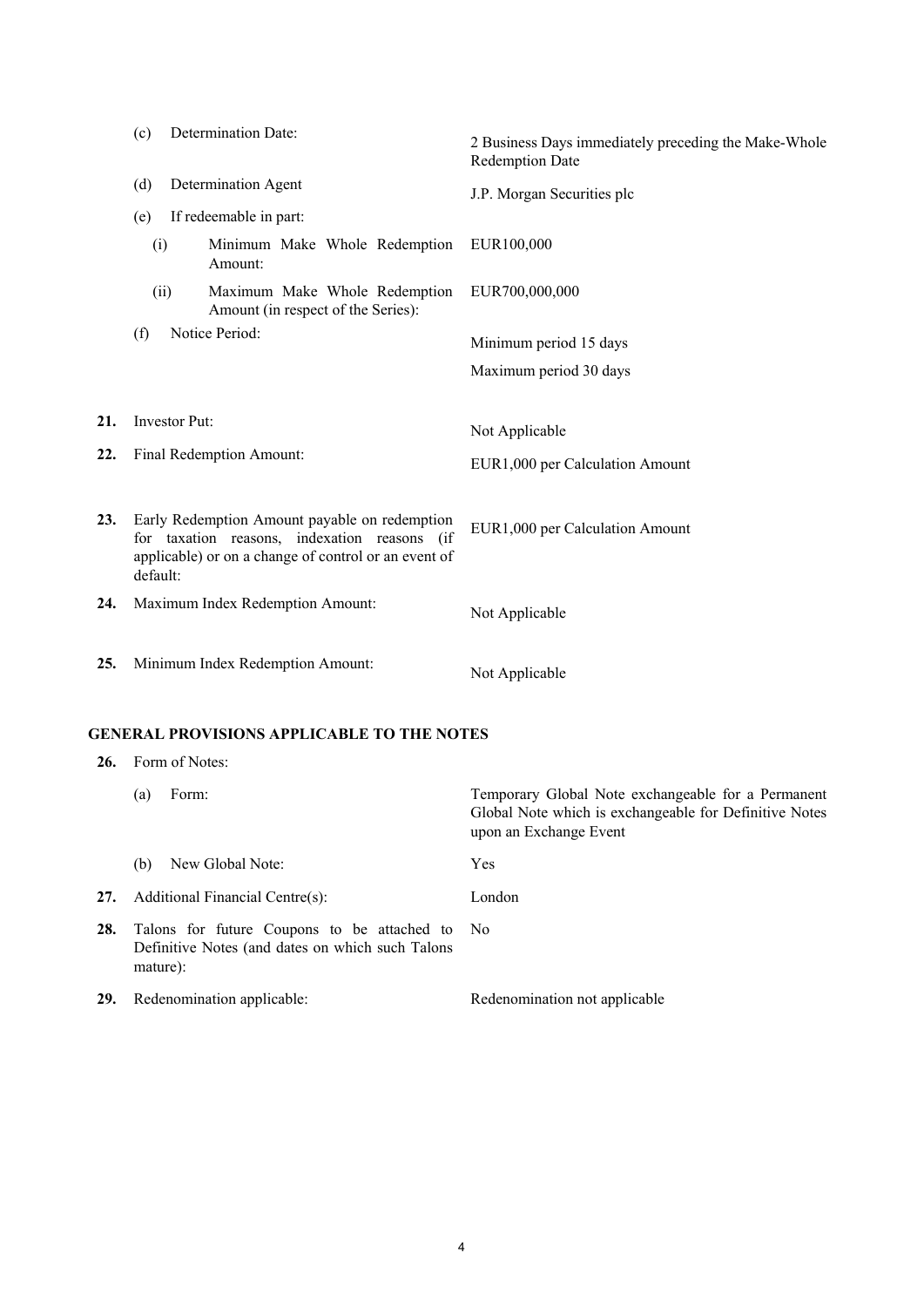<span id="page-3-0"></span>

|     | (c)                                                                                                                                                               | Determination Date:                                                         | 2 Business Days immediately preceding the Make-Whole<br><b>Redemption Date</b>                                                         |
|-----|-------------------------------------------------------------------------------------------------------------------------------------------------------------------|-----------------------------------------------------------------------------|----------------------------------------------------------------------------------------------------------------------------------------|
|     | (d)                                                                                                                                                               | Determination Agent                                                         | J.P. Morgan Securities plc                                                                                                             |
|     | (e)                                                                                                                                                               | If redeemable in part:                                                      |                                                                                                                                        |
|     | (i)                                                                                                                                                               | Minimum Make Whole Redemption<br>Amount:                                    | EUR100,000                                                                                                                             |
|     |                                                                                                                                                                   | Maximum Make Whole Redemption<br>(ii)<br>Amount (in respect of the Series): | EUR700,000,000                                                                                                                         |
|     | (f)                                                                                                                                                               | Notice Period:                                                              | Minimum period 15 days                                                                                                                 |
|     |                                                                                                                                                                   |                                                                             | Maximum period 30 days                                                                                                                 |
|     |                                                                                                                                                                   |                                                                             |                                                                                                                                        |
| 21. |                                                                                                                                                                   | Investor Put:                                                               | Not Applicable                                                                                                                         |
| 22. |                                                                                                                                                                   | Final Redemption Amount:                                                    | EUR1,000 per Calculation Amount                                                                                                        |
| 23. | Early Redemption Amount payable on redemption<br>for taxation reasons, indexation reasons (if<br>applicable) or on a change of control or an event of<br>default: |                                                                             | EUR1,000 per Calculation Amount                                                                                                        |
| 24. |                                                                                                                                                                   | Maximum Index Redemption Amount:                                            | Not Applicable                                                                                                                         |
| 25. |                                                                                                                                                                   | Minimum Index Redemption Amount:                                            | Not Applicable                                                                                                                         |
|     |                                                                                                                                                                   | <b>GENERAL PROVISIONS APPLICABLE TO THE NOTES</b>                           |                                                                                                                                        |
| 26. |                                                                                                                                                                   | Form of Notes:                                                              |                                                                                                                                        |
|     | (a)                                                                                                                                                               | Form:                                                                       | Temporary Global Note exchangeable for a Permanent<br>Global Note which is exchangeable for Definitive Notes<br>upon an Exchange Event |
|     | (b)                                                                                                                                                               | New Global Note:                                                            | Yes                                                                                                                                    |
| 27. |                                                                                                                                                                   | Additional Financial Centre(s):                                             | London                                                                                                                                 |
| 28. |                                                                                                                                                                   | Talons for future Coupons to be attached to                                 | No                                                                                                                                     |

29. Redenomination applicable: Redenomination not applicable

mature):

Definitive Notes (and dates on which such Talons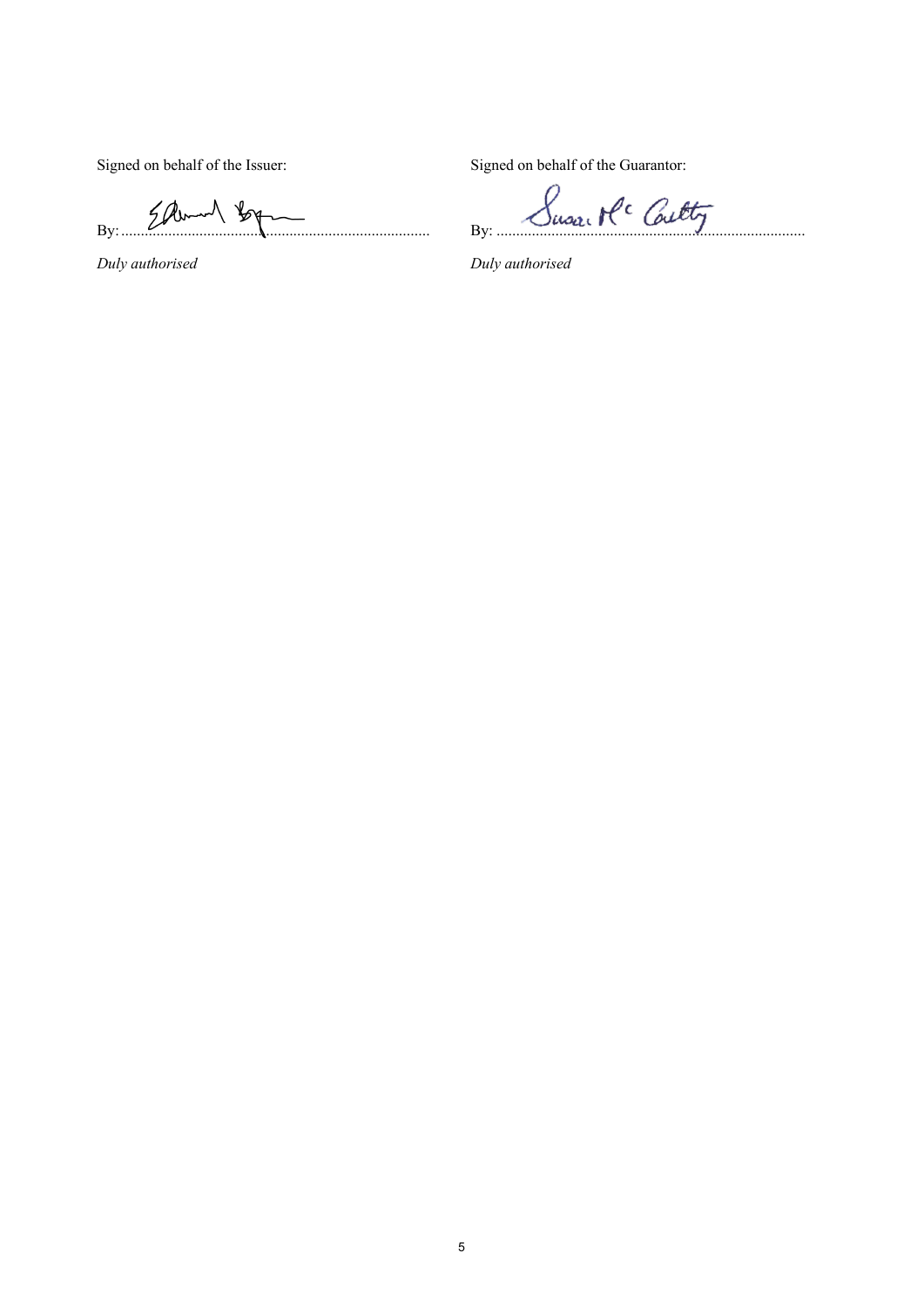*Duly authorised Duly authorised*

Signed on behalf of the Issuer: Signed on behalf of the Guarantor:

By: Elbert By Juse Buse Pc Culty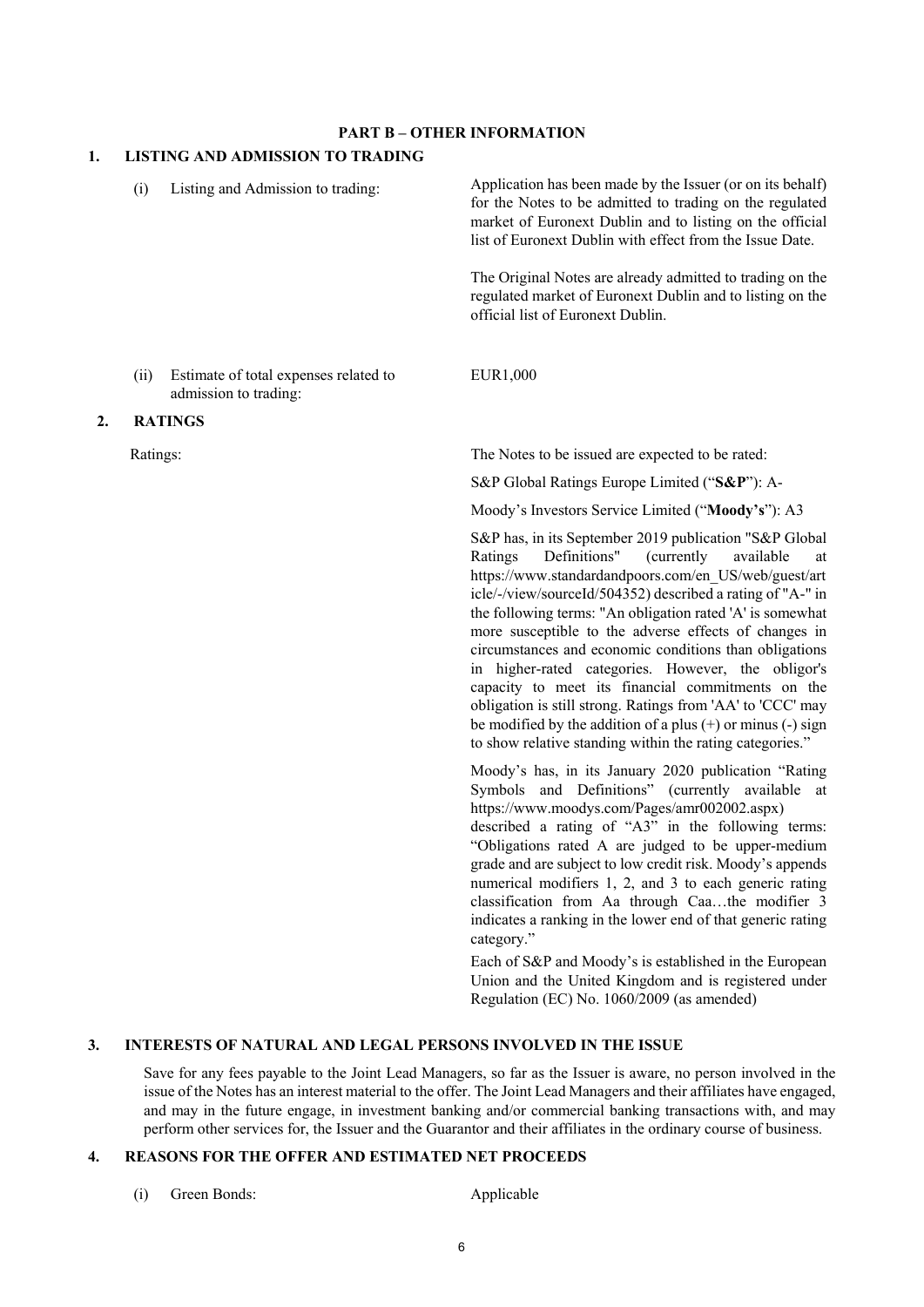## **PART B – OTHER INFORMATION**

#### **1. LISTING AND ADMISSION TO TRADING**

|    | (i)      | Listing and Admission to trading:                              | Application has been made by the Issuer (or on its behalf)<br>for the Notes to be admitted to trading on the regulated<br>market of Euronext Dublin and to listing on the official<br>list of Euronext Dublin with effect from the Issue Date.                                                                                                                                                                                                                                                                                                                                                                                                                                                                                    |
|----|----------|----------------------------------------------------------------|-----------------------------------------------------------------------------------------------------------------------------------------------------------------------------------------------------------------------------------------------------------------------------------------------------------------------------------------------------------------------------------------------------------------------------------------------------------------------------------------------------------------------------------------------------------------------------------------------------------------------------------------------------------------------------------------------------------------------------------|
|    |          |                                                                | The Original Notes are already admitted to trading on the<br>regulated market of Euronext Dublin and to listing on the<br>official list of Euronext Dublin.                                                                                                                                                                                                                                                                                                                                                                                                                                                                                                                                                                       |
|    | (ii)     | Estimate of total expenses related to<br>admission to trading: | EUR1,000                                                                                                                                                                                                                                                                                                                                                                                                                                                                                                                                                                                                                                                                                                                          |
| 2. |          | <b>RATINGS</b>                                                 |                                                                                                                                                                                                                                                                                                                                                                                                                                                                                                                                                                                                                                                                                                                                   |
|    | Ratings: |                                                                | The Notes to be issued are expected to be rated:                                                                                                                                                                                                                                                                                                                                                                                                                                                                                                                                                                                                                                                                                  |
|    |          |                                                                | S&P Global Ratings Europe Limited ("S&P"): A-                                                                                                                                                                                                                                                                                                                                                                                                                                                                                                                                                                                                                                                                                     |
|    |          |                                                                | Moody's Investors Service Limited ("Moody's"): A3                                                                                                                                                                                                                                                                                                                                                                                                                                                                                                                                                                                                                                                                                 |
|    |          |                                                                | S&P has, in its September 2019 publication "S&P Global<br>Definitions"<br>(currently)<br>available<br>Ratings<br>at<br>https://www.standardandpoors.com/en_US/web/guest/art<br>icle/-/view/sourceId/504352) described a rating of "A-" in<br>the following terms: "An obligation rated 'A' is somewhat<br>more susceptible to the adverse effects of changes in<br>circumstances and economic conditions than obligations<br>in higher-rated categories. However, the obligor's<br>capacity to meet its financial commitments on the<br>obligation is still strong. Ratings from 'AA' to 'CCC' may<br>be modified by the addition of a plus $(+)$ or minus $(-)$ sign<br>to show relative standing within the rating categories." |
|    |          |                                                                | Moody's has, in its January 2020 publication "Rating<br>Symbols and Definitions" (currently available<br>at<br>https://www.moodys.com/Pages/amr002002.aspx)                                                                                                                                                                                                                                                                                                                                                                                                                                                                                                                                                                       |

described a rating of "A3" in the following terms: "Obligations rated A are judged to be upper-medium grade and are subject to low credit risk. Moody's appends numerical modifiers 1, 2, and 3 to each generic rating classification from Aa through Caa…the modifier 3 indicates a ranking in the lower end of that generic rating category."

Each of S&P and Moody's is established in the European Union and the United Kingdom and is registered under Regulation (EC) No. 1060/2009 (as amended)

## **3. INTERESTS OF NATURAL AND LEGAL PERSONS INVOLVED IN THE ISSUE**

Save for any fees payable to the Joint Lead Managers, so far as the Issuer is aware, no person involved in the issue of the Notes has an interest material to the offer. The Joint Lead Managers and their affiliates have engaged, and may in the future engage, in investment banking and/or commercial banking transactions with, and may perform other services for, the Issuer and the Guarantor and their affiliates in the ordinary course of business.

## **4. REASONS FOR THE OFFER AND ESTIMATED NET PROCEEDS**

(i) Green Bonds: Applicable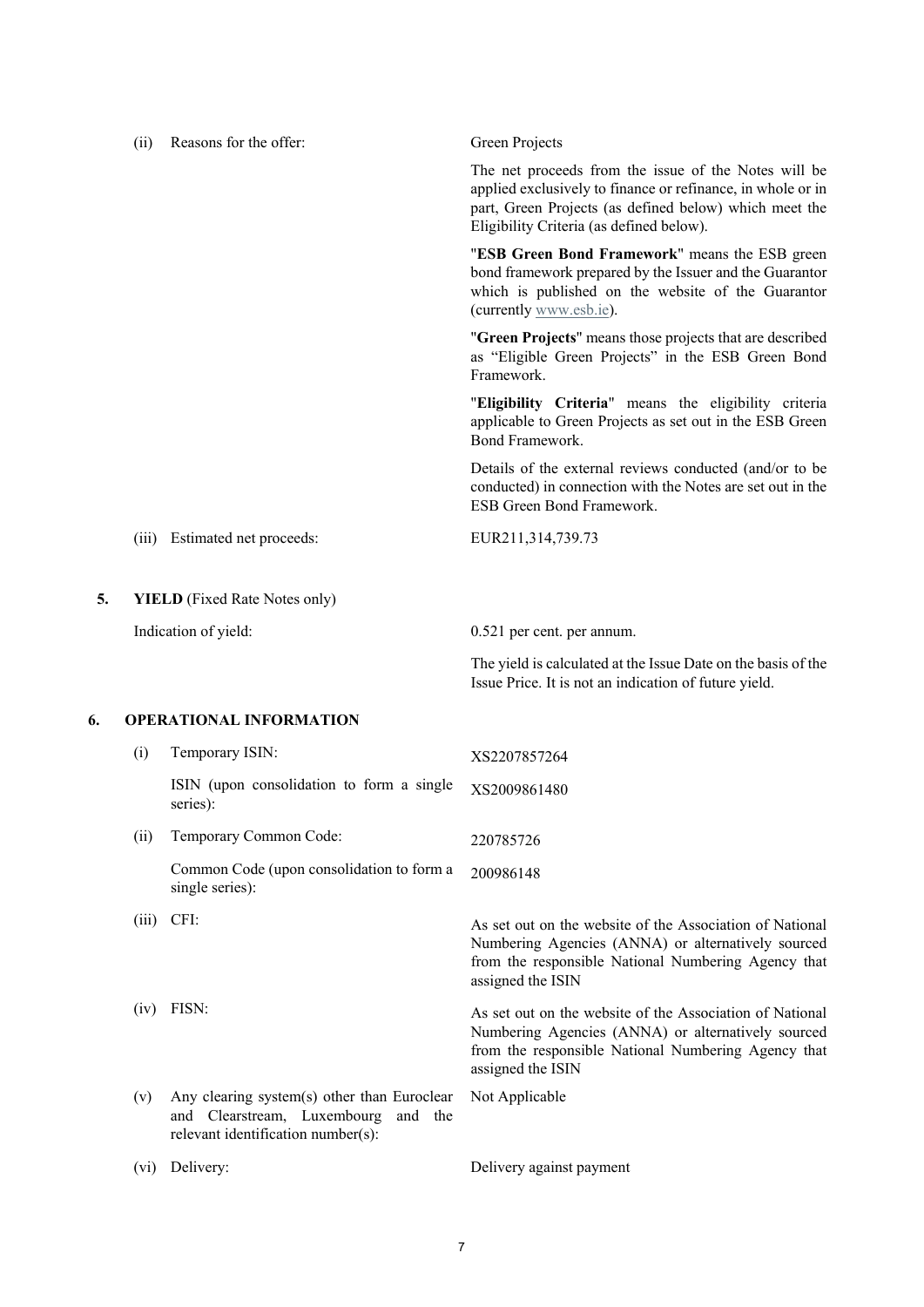|    | (ii)  | Reasons for the offer:                                                                                                      | Green Projects                                                                                                                                                                                                            |
|----|-------|-----------------------------------------------------------------------------------------------------------------------------|---------------------------------------------------------------------------------------------------------------------------------------------------------------------------------------------------------------------------|
|    |       |                                                                                                                             | The net proceeds from the issue of the Notes will be<br>applied exclusively to finance or refinance, in whole or in<br>part, Green Projects (as defined below) which meet the<br>Eligibility Criteria (as defined below). |
|    |       |                                                                                                                             | "ESB Green Bond Framework" means the ESB green<br>bond framework prepared by the Issuer and the Guarantor<br>which is published on the website of the Guarantor<br>(currently www.esb.ie).                                |
|    |       |                                                                                                                             | "Green Projects" means those projects that are described<br>as "Eligible Green Projects" in the ESB Green Bond<br>Framework.                                                                                              |
|    |       |                                                                                                                             | "Eligibility Criteria" means the eligibility criteria<br>applicable to Green Projects as set out in the ESB Green<br>Bond Framework.                                                                                      |
|    |       |                                                                                                                             | Details of the external reviews conducted (and/or to be<br>conducted) in connection with the Notes are set out in the<br>ESB Green Bond Framework.                                                                        |
|    | (iii) | Estimated net proceeds:                                                                                                     | EUR211,314,739.73                                                                                                                                                                                                         |
| 5. |       | <b>YIELD</b> (Fixed Rate Notes only)                                                                                        |                                                                                                                                                                                                                           |
|    |       | Indication of yield:                                                                                                        | 0.521 per cent. per annum.                                                                                                                                                                                                |
|    |       |                                                                                                                             | The yield is calculated at the Issue Date on the basis of the<br>Issue Price. It is not an indication of future yield.                                                                                                    |
| 6. |       | <b>OPERATIONAL INFORMATION</b>                                                                                              |                                                                                                                                                                                                                           |
|    | (i)   | Temporary ISIN:                                                                                                             | XS2207857264                                                                                                                                                                                                              |
|    |       | ISIN (upon consolidation to form a single<br>series):                                                                       | XS2009861480                                                                                                                                                                                                              |
|    | (ii)  | Temporary Common Code:                                                                                                      | 220785726                                                                                                                                                                                                                 |
|    |       | Common Code (upon consolidation to form a<br>single series):                                                                | 200986148                                                                                                                                                                                                                 |
|    | (iii) | CFI:                                                                                                                        | As set out on the website of the Association of National<br>Numbering Agencies (ANNA) or alternatively sourced<br>from the responsible National Numbering Agency that<br>assigned the ISIN                                |
|    |       | $(iv)$ FISN:                                                                                                                | As set out on the website of the Association of National<br>Numbering Agencies (ANNA) or alternatively sourced<br>from the responsible National Numbering Agency that<br>assigned the ISIN                                |
|    | (v)   | Any clearing system(s) other than Euroclear<br>and Clearstream, Luxembourg<br>and the<br>relevant identification number(s): | Not Applicable                                                                                                                                                                                                            |
|    | (vi)  | Delivery:                                                                                                                   | Delivery against payment                                                                                                                                                                                                  |